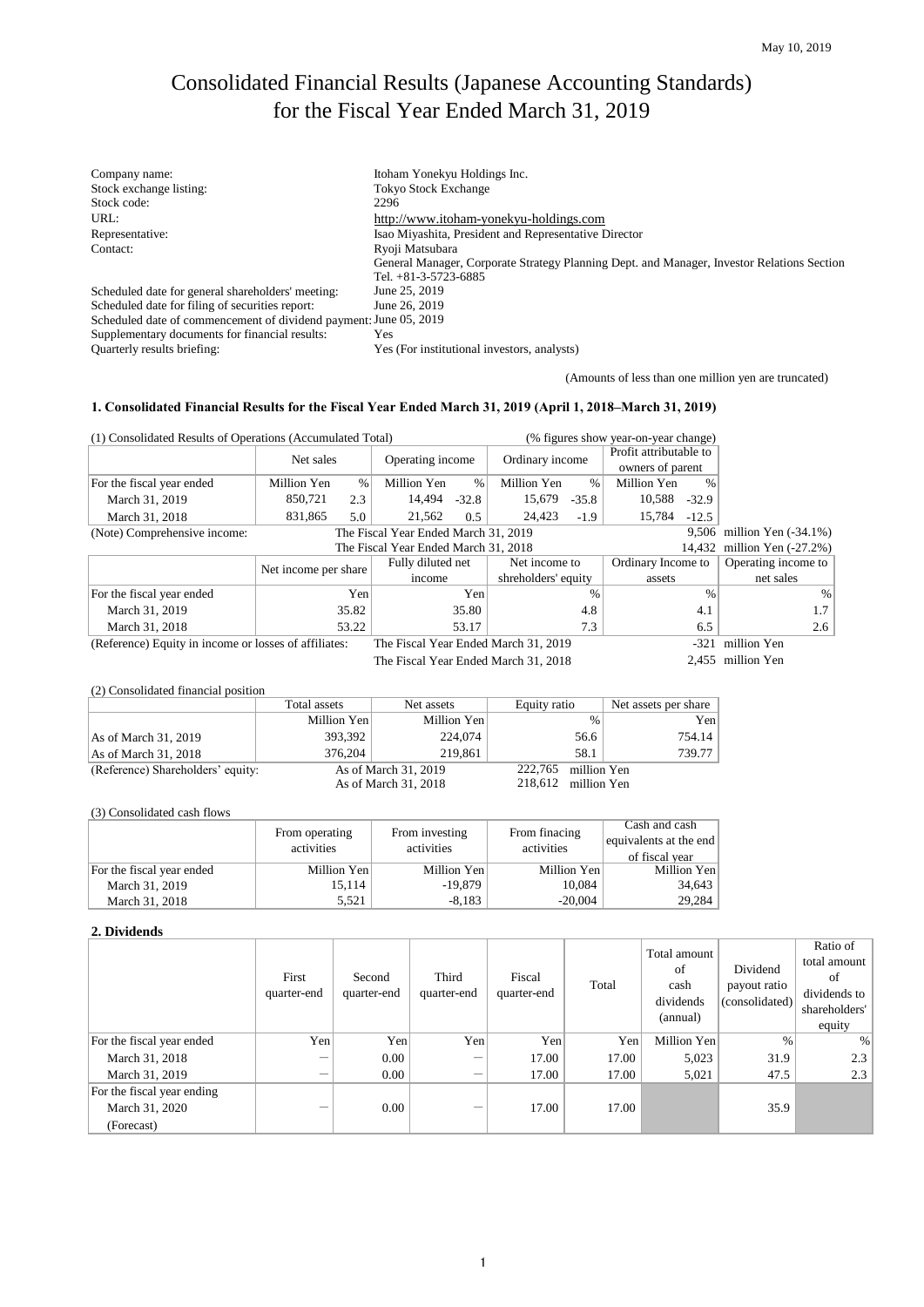# Consolidated Financial Results (Japanese Accounting Standards) for the Fiscal Year Ended March 31, 2019

| Company name:                                                     | Itoham Yonekyu Holdings Inc.                                                               |
|-------------------------------------------------------------------|--------------------------------------------------------------------------------------------|
|                                                                   |                                                                                            |
| Stock exchange listing:                                           | <b>Tokyo Stock Exchange</b>                                                                |
| Stock code:                                                       | 2296                                                                                       |
| URL:                                                              | http://www.itoham-yonekyu-holdings.com                                                     |
| Representative:                                                   | Isao Miyashita, President and Representative Director                                      |
| Contact:                                                          | Ryoji Matsubara                                                                            |
|                                                                   | General Manager, Corporate Strategy Planning Dept. and Manager, Investor Relations Section |
|                                                                   | Tel. $+81-3-5723-6885$                                                                     |
| Scheduled date for general shareholders' meeting:                 | June 25, 2019                                                                              |
| Scheduled date for filing of securities report:                   | June 26, 2019                                                                              |
| Scheduled date of commencement of dividend payment: June 05, 2019 |                                                                                            |
| Supplementary documents for financial results:                    | Yes                                                                                        |
| Quarterly results briefing:                                       | Yes (For institutional investors, analysts)                                                |

(Amounts of less than one million yen are truncated)

#### **1. Consolidated Financial Results for the Fiscal Year Ended March 31, 2019 (April 1, 2018–March 31, 2019)**

| (1) Consolidated Results of Operations (Accumulated Total) |                      |      |                                      |      | (% figures show year-on-year change) |               |                        |               |                         |
|------------------------------------------------------------|----------------------|------|--------------------------------------|------|--------------------------------------|---------------|------------------------|---------------|-------------------------|
|                                                            | Net sales            |      | Operating income                     |      | Ordinary income                      |               | Profit attributable to |               |                         |
|                                                            |                      |      |                                      |      |                                      |               | owners of parent       |               |                         |
| For the fiscal year ended                                  | Million Yen          | $\%$ | Million Yen                          | $\%$ | Million Yen                          | $\%$          | Million Yen            | $\frac{0}{0}$ |                         |
| March 31, 2019                                             | 850,721              | 2.3  | 14,494<br>$-32.8$                    |      | 15,679                               | $-35.8$       | 10,588                 | $-32.9$       |                         |
| March 31, 2018                                             | 831,865              | 5.0  | 21,562                               | 0.5  | 24,423                               | $-1.9$        | 15,784                 | $-12.5$       |                         |
| (Note) Comprehensive income:                               |                      |      | The Fiscal Year Ended March 31, 2019 |      |                                      |               |                        | 9,506         | million Yen $(-34.1\%)$ |
|                                                            |                      |      | The Fiscal Year Ended March 31, 2018 |      |                                      |               |                        | 14,432        | million Yen $(-27.2%)$  |
|                                                            | Net income per share |      | Fully diluted net                    |      | Net income to                        |               | Ordinary Income to     |               | Operating income to     |
|                                                            |                      |      | income                               |      | shreholders' equity                  |               | assets                 |               | net sales               |
| For the fiscal year ended                                  |                      | Yen  |                                      | Yen  |                                      | $\frac{0}{0}$ |                        | $\frac{0}{0}$ | $\%$                    |
| March 31, 2019                                             | 35.82                |      | 35.80                                |      |                                      | 4.8           |                        | 4.1           | 1.7                     |
| March 31, 2018                                             | 53.22                |      | 53.17                                |      |                                      | 7.3           |                        | 6.5           | 2.6                     |
| (Reference) Equity in income or losses of affiliates:      |                      |      | The Fiscal Year Ended March 31, 2019 |      |                                      |               |                        | $-321$        | million Yen             |
|                                                            |                      |      | The Fiscal Year Ended March 31, 2018 |      |                                      |               |                        |               | 2,455 million Yen       |
|                                                            |                      |      |                                      |      |                                      |               |                        |               |                         |
| (2) Consolidated financial position                        |                      |      |                                      |      |                                      |               |                        |               |                         |
|                                                            | Total assets         |      | Net assets                           |      | Equity ratio                         |               | Net assets per share   |               |                         |
|                                                            | Million Yen          |      | Million Yen                          |      |                                      | $\frac{0}{0}$ |                        | Yen           |                         |
| As of March 31, 2019                                       | 393,392              |      | 224,074                              |      |                                      | 56.6          |                        | 754.14        |                         |
| As of March 31, 2018                                       | 376,204              |      | 219,861                              |      |                                      | 58.1          |                        | 739.77        |                         |

| (3) Consolidated cash flows |  |
|-----------------------------|--|
|                             |  |

(Reference) Shareholders' equity: As of March 31, 2019<br>As of March 31, 2018

|                           | From operating<br>activities | From investing<br>activities | From finacing<br>activities | Cash and cash<br>equivalents at the end<br>of fiscal year |
|---------------------------|------------------------------|------------------------------|-----------------------------|-----------------------------------------------------------|
| For the fiscal year ended | Million Yen                  | Million Yen                  | Million Yen                 | Million Yen                                               |
| March 31, 2019            | 15.114                       | $-19.879$                    | 10,084                      | 34,643                                                    |
| March 31, 2018            | 5.521                        | $-8.183$                     | $-20.004$                   | 29,284                                                    |

#### **2. Dividends**

|                                              | First<br>quarter-end     | Second<br>quarter-end | Third<br>quarter-end | Fiscal<br>quarter-end | Total | Total amount<br>of<br>cash<br>dividends<br>(annual) | Dividend<br>payout ratio<br>(consolidated) | Ratio of<br>total amount<br>of<br>dividends to<br>shareholders'<br>equity |
|----------------------------------------------|--------------------------|-----------------------|----------------------|-----------------------|-------|-----------------------------------------------------|--------------------------------------------|---------------------------------------------------------------------------|
| For the fiscal year ended                    | Yen                      | Yen                   | Yen                  | Yen                   | Yen   | Million Yen                                         | $\%$                                       | $\%$                                                                      |
| March 31, 2018                               | $\overline{\phantom{0}}$ | 0.00                  | —                    | 17.00                 | 17.00 | 5,023                                               | 31.9                                       | 2.3                                                                       |
| March 31, 2019                               | $\overline{\phantom{0}}$ | 0.00                  | —                    | 17.00                 | 17.00 | 5,021                                               | 47.5                                       | 2.3                                                                       |
| For the fiscal year ending<br>March 31, 2020 | $\overline{\phantom{0}}$ | 0.00                  |                      | 17.00                 | 17.00 |                                                     | 35.9                                       |                                                                           |
| (Forecast)                                   |                          |                       |                      |                       |       |                                                     |                                            |                                                                           |

As of March 31, 2018 218,612 million Yen

222,765 million Yen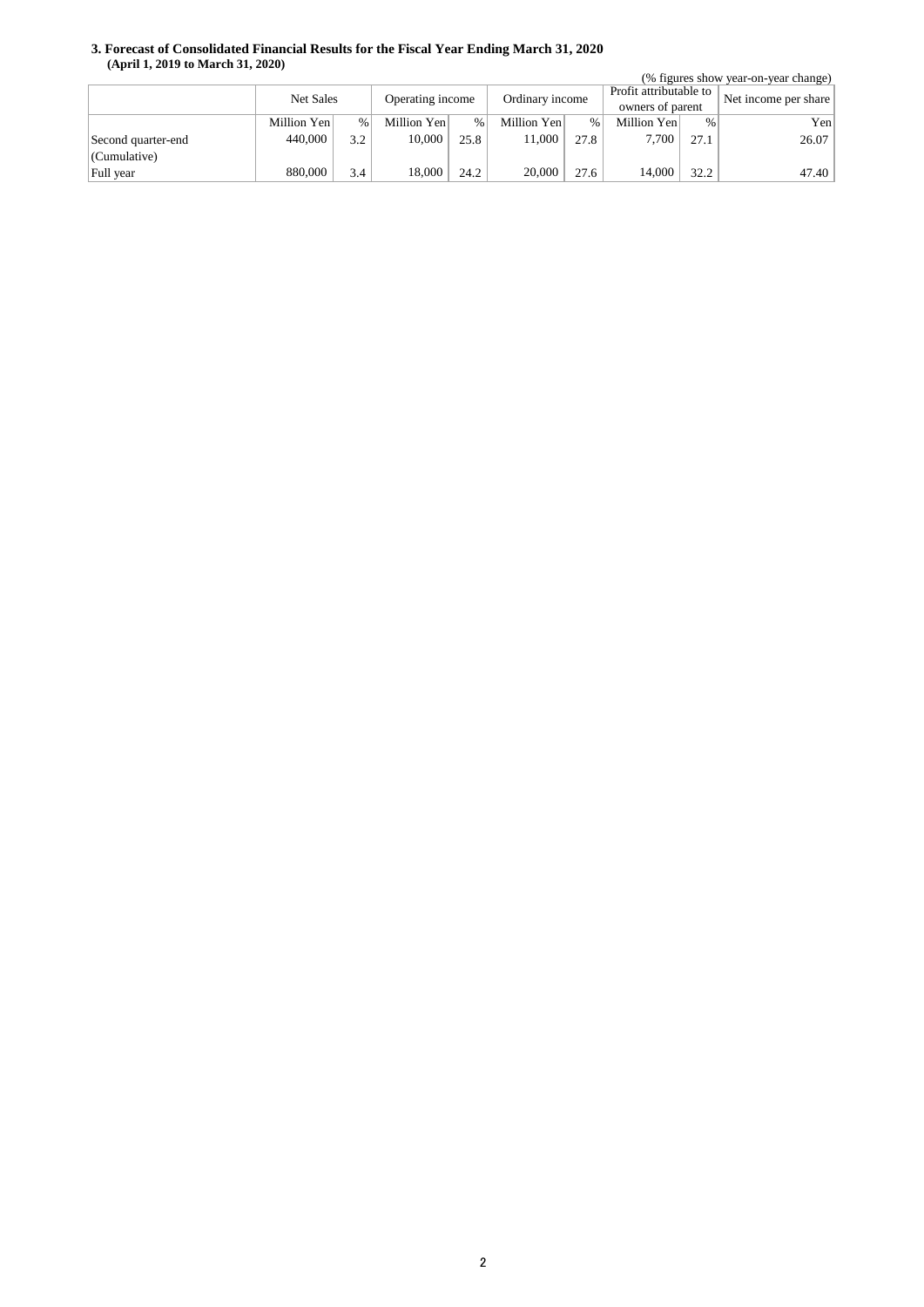#### **3. Forecast of Consolidated Financial Results for the Fiscal Year Ending March 31, 2020 (April 1, 2019 to March 31, 2020)**

| (% figures show year-on-year change) |             |      |                  |               |                 |      |                        |      |                      |
|--------------------------------------|-------------|------|------------------|---------------|-----------------|------|------------------------|------|----------------------|
|                                      | Net Sales   |      | Operating income |               | Ordinary income |      | Profit attributable to |      | Net income per share |
|                                      |             |      |                  |               |                 |      | owners of parent       |      |                      |
|                                      | Million Yen | $\%$ | Million Yen      | $\frac{0}{0}$ | Million Yen     | $\%$ | Million Yen            | %    | Yen                  |
| Second quarter-end                   | 440,000     | 3.2  | 10,000           | 25.8          | 11.000          | 27.8 | 7.700                  | 27.1 | 26.07                |
| (Cumulative)                         |             |      |                  |               |                 |      |                        |      |                      |
| Full year                            | 880,000     | 3.4  | 18,000           | 24.2          | 20,000          | 27.6 | 14.000                 | 32.2 | 47.40                |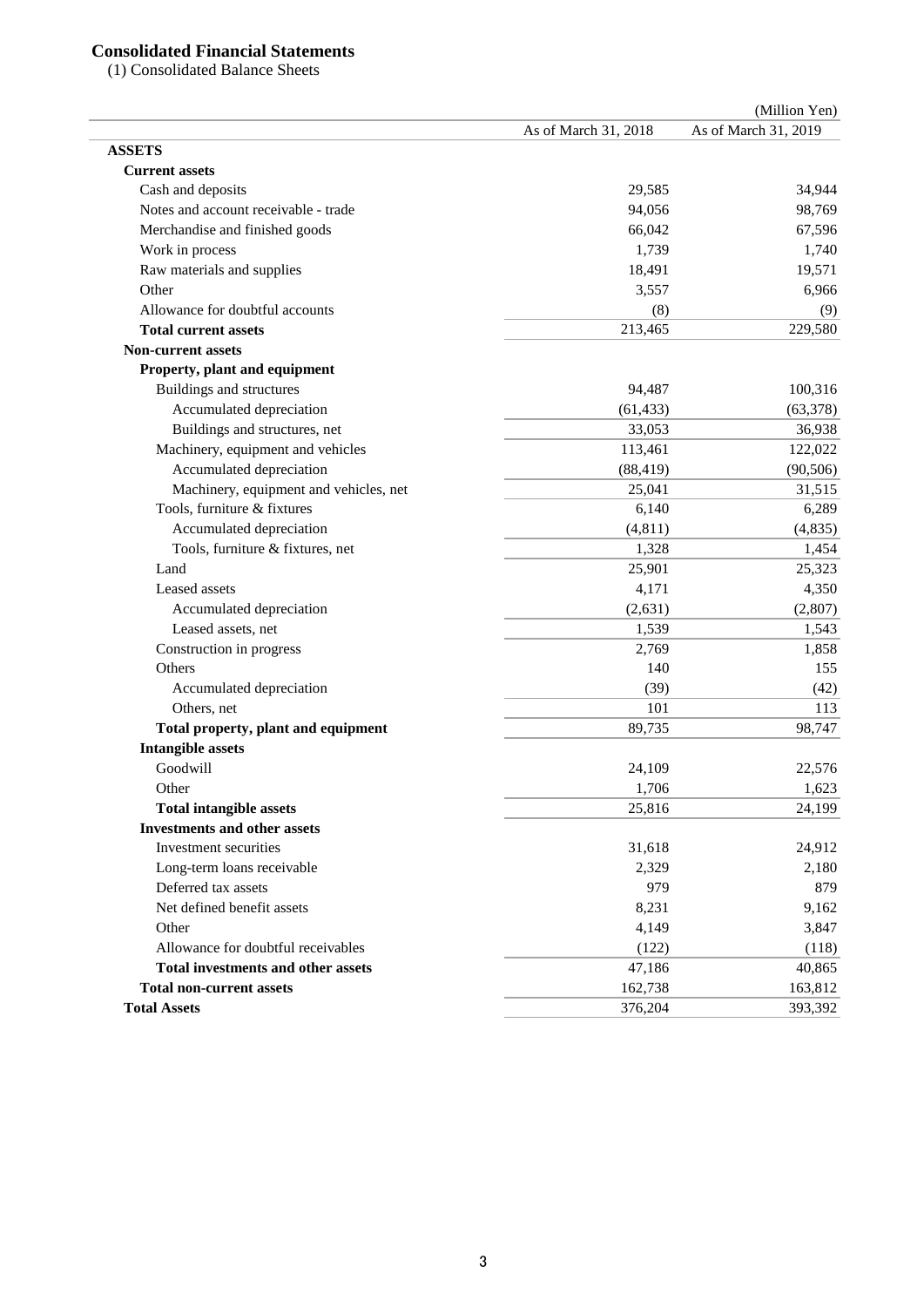# **Consolidated Financial Statements**

(1) Consolidated Balance Sheets

|                                           |                      | (Million Yen)        |
|-------------------------------------------|----------------------|----------------------|
|                                           | As of March 31, 2018 | As of March 31, 2019 |
| <b>ASSETS</b>                             |                      |                      |
| <b>Current assets</b>                     |                      |                      |
| Cash and deposits                         | 29,585               | 34,944               |
| Notes and account receivable - trade      | 94,056               | 98,769               |
| Merchandise and finished goods            | 66,042               | 67,596               |
| Work in process                           | 1,739                | 1,740                |
| Raw materials and supplies                | 18,491               | 19,571               |
| Other                                     | 3,557                | 6,966                |
| Allowance for doubtful accounts           | (8)                  | (9)                  |
| <b>Total current assets</b>               | 213,465              | 229,580              |
| <b>Non-current assets</b>                 |                      |                      |
| Property, plant and equipment             |                      |                      |
| Buildings and structures                  | 94,487               | 100,316              |
| Accumulated depreciation                  | (61, 433)            | (63, 378)            |
| Buildings and structures, net             | 33,053               | 36,938               |
| Machinery, equipment and vehicles         | 113,461              | 122,022              |
| Accumulated depreciation                  | (88, 419)            | (90, 506)            |
| Machinery, equipment and vehicles, net    | 25,041               | 31,515               |
| Tools, furniture & fixtures               | 6,140                | 6,289                |
| Accumulated depreciation                  | (4, 811)             | (4, 835)             |
| Tools, furniture & fixtures, net          | 1,328                | 1,454                |
| Land                                      | 25,901               | 25,323               |
| Leased assets                             | 4,171                | 4,350                |
| Accumulated depreciation                  | (2,631)              | (2,807)              |
| Leased assets, net                        | 1,539                | 1,543                |
| Construction in progress                  | 2,769                | 1,858                |
| Others                                    | 140                  | 155                  |
| Accumulated depreciation                  | (39)                 | (42)                 |
| Others, net                               | 101                  | 113                  |
| Total property, plant and equipment       | 89,735               | 98,747               |
| <b>Intangible assets</b>                  |                      |                      |
| Goodwill                                  | 24,109               | 22,576               |
| Other                                     | 1,706                | 1,623                |
| <b>Total intangible assets</b>            | 25,816               | 24,199               |
| <b>Investments and other assets</b>       |                      |                      |
| Investment securities                     | 31,618               | 24,912               |
| Long-term loans receivable                | 2,329                | 2,180                |
| Deferred tax assets                       | 979                  | 879                  |
| Net defined benefit assets                | 8,231                | 9,162                |
| Other                                     | 4,149                | 3,847                |
| Allowance for doubtful receivables        | (122)                | (118)                |
| <b>Total investments and other assets</b> | 47,186               | 40,865               |
| <b>Total non-current assets</b>           | 162,738              | 163,812              |
| <b>Total Assets</b>                       | 376,204              | 393,392              |
|                                           |                      |                      |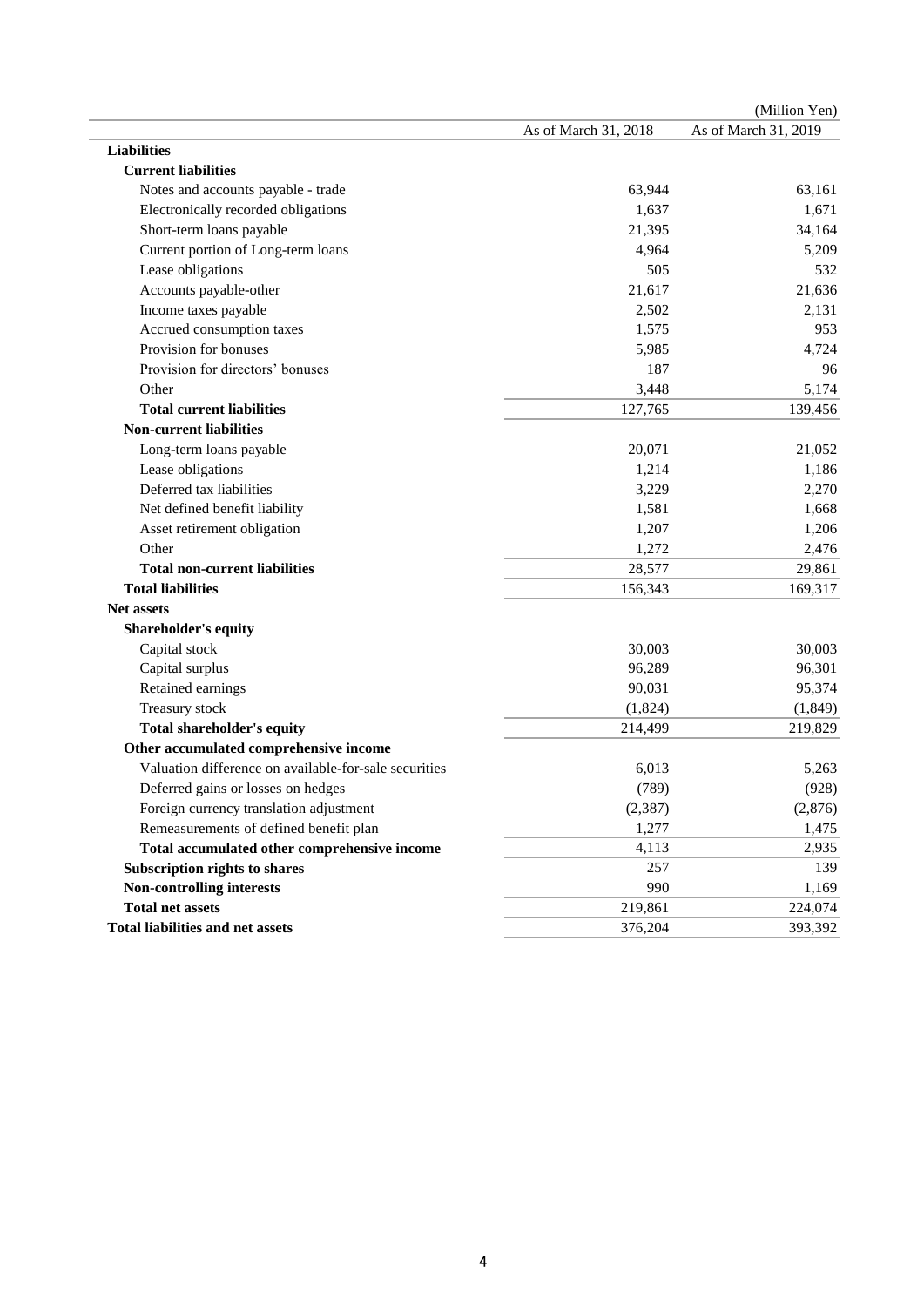|                                                       |                      | (Million Yen)        |
|-------------------------------------------------------|----------------------|----------------------|
|                                                       | As of March 31, 2018 | As of March 31, 2019 |
| <b>Liabilities</b>                                    |                      |                      |
| <b>Current liabilities</b>                            |                      |                      |
| Notes and accounts payable - trade                    | 63,944               | 63,161               |
| Electronically recorded obligations                   | 1,637                | 1,671                |
| Short-term loans payable                              | 21,395               | 34,164               |
| Current portion of Long-term loans                    | 4,964                | 5,209                |
| Lease obligations                                     | 505                  | 532                  |
| Accounts payable-other                                | 21,617               | 21,636               |
| Income taxes payable                                  | 2,502                | 2,131                |
| Accrued consumption taxes                             | 1,575                | 953                  |
| Provision for bonuses                                 | 5,985                | 4,724                |
| Provision for directors' bonuses                      | 187                  | 96                   |
| Other                                                 | 3,448                | 5,174                |
| <b>Total current liabilities</b>                      | 127,765              | 139,456              |
| <b>Non-current liabilities</b>                        |                      |                      |
| Long-term loans payable                               | 20,071               | 21,052               |
| Lease obligations                                     | 1,214                | 1,186                |
| Deferred tax liabilities                              | 3,229                | 2,270                |
| Net defined benefit liability                         | 1,581                | 1,668                |
| Asset retirement obligation                           | 1,207                | 1,206                |
| Other                                                 | 1,272                | 2,476                |
| <b>Total non-current liabilities</b>                  | 28,577               | 29,861               |
| <b>Total liabilities</b>                              | 156,343              | 169,317              |
| <b>Net assets</b>                                     |                      |                      |
| <b>Shareholder's equity</b>                           |                      |                      |
| Capital stock                                         | 30,003               | 30,003               |
| Capital surplus                                       | 96,289               | 96,301               |
| Retained earnings                                     | 90,031               | 95,374               |
| Treasury stock                                        | (1,824)              | (1, 849)             |
| <b>Total shareholder's equity</b>                     | 214,499              | 219,829              |
| Other accumulated comprehensive income                |                      |                      |
| Valuation difference on available-for-sale securities | 6,013                | 5,263                |
| Deferred gains or losses on hedges                    | (789)                | (928)                |
| Foreign currency translation adjustment               | (2, 387)             | (2,876)              |
| Remeasurements of defined benefit plan                | 1,277                | 1,475                |
| Total accumulated other comprehensive income          | 4,113                | 2,935                |
| Subscription rights to shares                         | 257                  | 139                  |
| Non-controlling interests                             | 990                  | 1,169                |
| <b>Total net assets</b>                               | 219,861              | 224,074              |
| <b>Total liabilities and net assets</b>               | 376,204              | 393,392              |
|                                                       |                      |                      |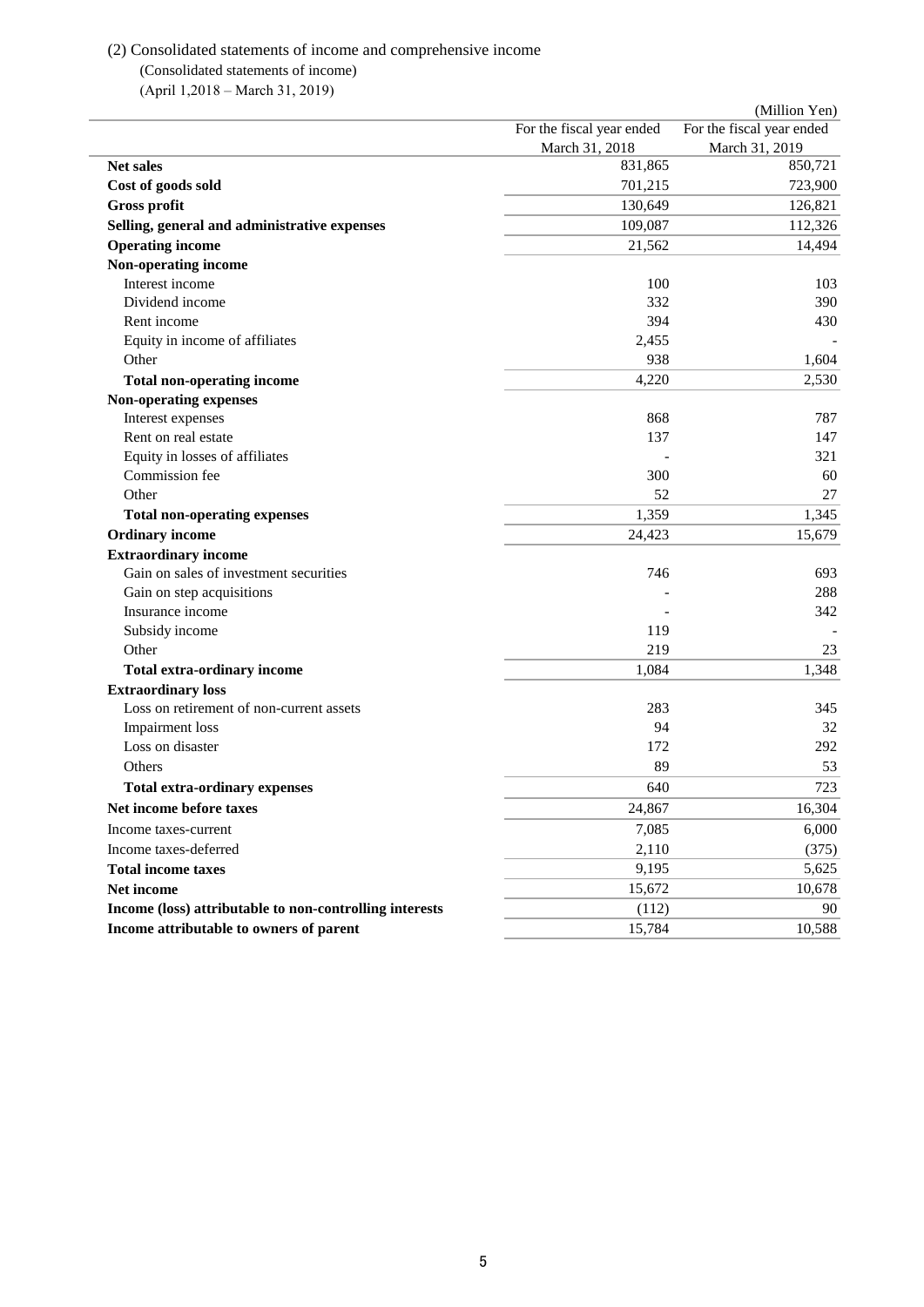## (2) Consolidated statements of income and comprehensive income (Consolidated statements of income)

(April 1,2018 – March 31, 2019)

|                                                         |                           | (Million Yen)             |
|---------------------------------------------------------|---------------------------|---------------------------|
|                                                         | For the fiscal year ended | For the fiscal year ended |
|                                                         | March 31, 2018            | March 31, 2019            |
| Net sales                                               | 831,865                   | 850,721                   |
| Cost of goods sold                                      | 701,215                   | 723,900                   |
| <b>Gross profit</b>                                     | 130,649                   | 126,821                   |
| Selling, general and administrative expenses            | 109,087                   | 112,326                   |
| <b>Operating income</b>                                 | 21,562                    | 14,494                    |
| Non-operating income                                    |                           |                           |
| Interest income                                         | 100                       | 103                       |
| Dividend income                                         | 332                       | 390                       |
| Rent income                                             | 394                       | 430                       |
| Equity in income of affiliates                          | 2,455                     |                           |
| Other                                                   | 938                       | 1,604                     |
| <b>Total non-operating income</b>                       | 4,220                     | 2,530                     |
| Non-operating expenses                                  |                           |                           |
| Interest expenses                                       | 868                       | 787                       |
| Rent on real estate                                     | 137                       | 147                       |
| Equity in losses of affiliates                          |                           | 321                       |
| Commission fee                                          | 300                       | 60                        |
| Other                                                   | 52                        | 27                        |
| <b>Total non-operating expenses</b>                     | 1,359                     | 1,345                     |
| <b>Ordinary income</b>                                  | 24,423                    | 15,679                    |
| <b>Extraordinary income</b>                             |                           |                           |
| Gain on sales of investment securities                  | 746                       | 693                       |
| Gain on step acquisitions                               |                           | 288                       |
| Insurance income                                        |                           | 342                       |
| Subsidy income                                          | 119                       |                           |
| Other                                                   | 219                       | 23                        |
| <b>Total extra-ordinary income</b>                      | 1,084                     | 1,348                     |
| <b>Extraordinary loss</b>                               |                           |                           |
| Loss on retirement of non-current assets                | 283                       | 345                       |
| <b>Impairment</b> loss                                  | 94                        | 32                        |
| Loss on disaster                                        | 172                       | 292                       |
| Others                                                  | 89                        | 53                        |
| <b>Total extra-ordinary expenses</b>                    | 640                       | 723                       |
| Net income before taxes                                 | 24,867                    | 16,304                    |
| Income taxes-current                                    | 7,085                     | 6,000                     |
|                                                         |                           |                           |
| Income taxes-deferred                                   | 2,110                     | (375)                     |
| <b>Total income taxes</b>                               | 9,195                     | 5,625                     |
| Net income                                              | 15,672                    | 10,678                    |
| Income (loss) attributable to non-controlling interests | (112)                     | 90                        |
| Income attributable to owners of parent                 | 15,784                    | 10,588                    |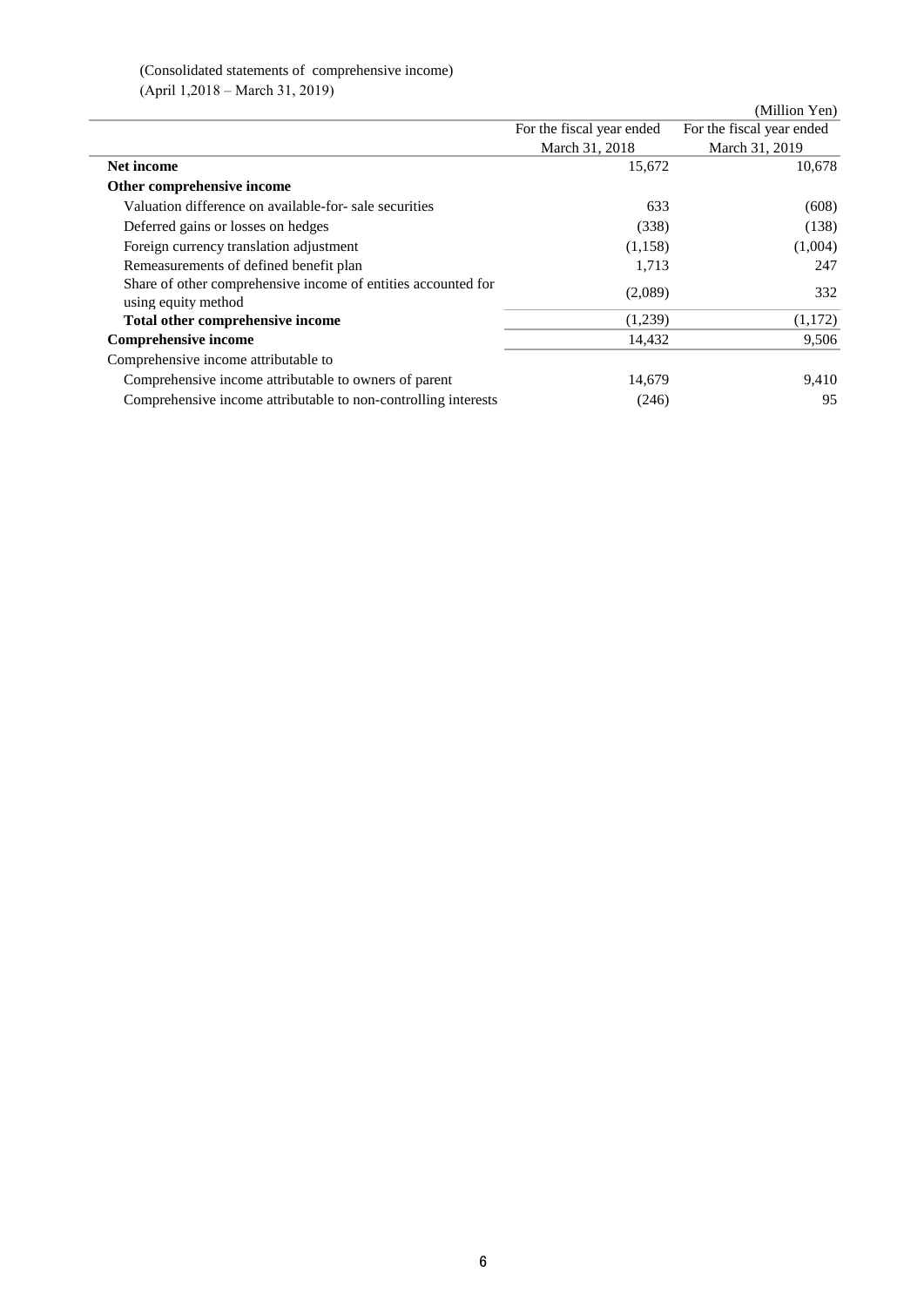## (Consolidated statements of comprehensive income) (April 1,2018 – March 31, 2019)

|                                                                                      |                           | (Million Yen)             |
|--------------------------------------------------------------------------------------|---------------------------|---------------------------|
|                                                                                      | For the fiscal year ended | For the fiscal year ended |
|                                                                                      | March 31, 2018            | March 31, 2019            |
| Net income                                                                           | 15,672                    | 10,678                    |
| Other comprehensive income                                                           |                           |                           |
| Valuation difference on available-for-sale securities                                | 633                       | (608)                     |
| Deferred gains or losses on hedges                                                   | (338)                     | (138)                     |
| Foreign currency translation adjustment                                              | (1,158)                   | (1,004)                   |
| Remeasurements of defined benefit plan                                               | 1,713                     | 247                       |
| Share of other comprehensive income of entities accounted for<br>using equity method | (2,089)                   | 332                       |
| Total other comprehensive income                                                     | (1,239)                   | (1,172)                   |
| <b>Comprehensive income</b>                                                          | 14,432                    | 9,506                     |
| Comprehensive income attributable to                                                 |                           |                           |
| Comprehensive income attributable to owners of parent                                | 14,679                    | 9,410                     |
| Comprehensive income attributable to non-controlling interests                       | (246)                     | 95                        |
|                                                                                      |                           |                           |